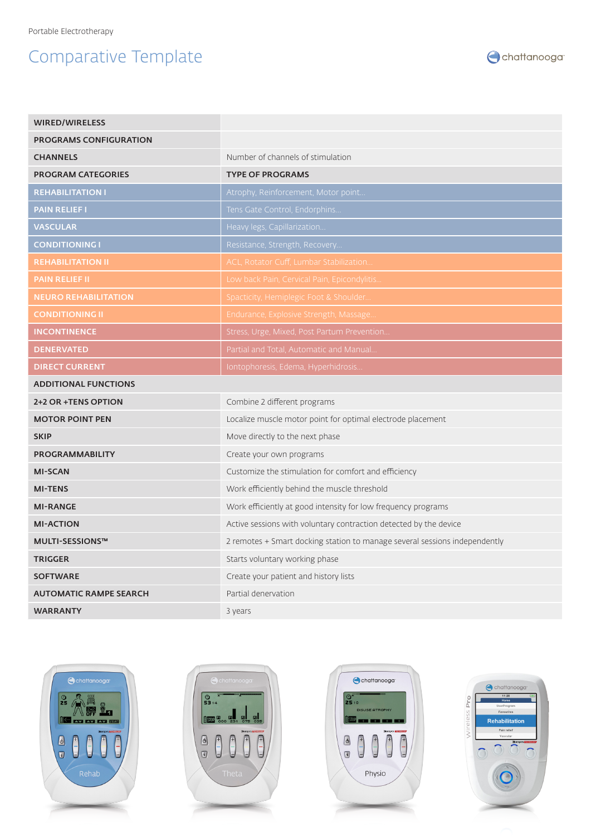## Comparative Template



| <b>WIRED/WIRELESS</b>         |                                                                            |
|-------------------------------|----------------------------------------------------------------------------|
| <b>PROGRAMS CONFIGURATION</b> |                                                                            |
| <b>CHANNELS</b>               | Number of channels of stimulation                                          |
| <b>PROGRAM CATEGORIES</b>     | <b>TYPE OF PROGRAMS</b>                                                    |
| <b>REHABILITATION I</b>       | Atrophy, Reinforcement, Motor point                                        |
| <b>PAIN RELIEF I</b>          | Tens Gate Control, Endorphins                                              |
| <b>VASCULAR</b>               | Heavy legs, Capillarization                                                |
| <b>CONDITIONING I</b>         | Resistance, Strength, Recovery                                             |
| <b>REHABILITATION II</b>      | ACL, Rotator Cuff, Lumbar Stabilization                                    |
| <b>PAIN RELIEF II</b>         | Low back Pain, Cervical Pain, Epicondylitis                                |
| <b>NEURO REHABILITATION</b>   | Spacticity, Hemiplegic Foot & Shoulder                                     |
| <b>CONDITIONING II</b>        | Endurance, Explosive Strength, Massage                                     |
| <b>INCONTINENCE</b>           | Stress, Urge, Mixed, Post Partum Prevention                                |
| <b>DENERVATED</b>             | Partial and Total, Automatic and Manual.                                   |
| <b>DIRECT CURRENT</b>         | Iontophoresis, Edema, Hyperhidrosis                                        |
| <b>ADDITIONAL FUNCTIONS</b>   |                                                                            |
| 2+2 OR +TENS OPTION           | Combine 2 different programs                                               |
| <b>MOTOR POINT PEN</b>        | Localize muscle motor point for optimal electrode placement                |
| <b>SKIP</b>                   | Move directly to the next phase                                            |
| PROGRAMMABILITY               | Create your own programs                                                   |
| <b>MI-SCAN</b>                | Customize the stimulation for comfort and efficiency                       |
| <b>MI-TENS</b>                | Work efficiently behind the muscle threshold                               |
| <b>MI-RANGE</b>               | Work efficiently at good intensity for low frequency programs              |
| <b>MI-ACTION</b>              | Active sessions with voluntary contraction detected by the device          |
| <b>MULTI-SESSIONS™</b>        | 2 remotes + Smart docking station to manage several sessions independently |
| <b>TRIGGER</b>                | Starts voluntary working phase                                             |
| <b>SOFTWARE</b>               | Create your patient and history lists                                      |
| <b>AUTOMATIC RAMPE SEARCH</b> | Partial denervation                                                        |
| <b>WARRANTY</b>               | 3 years                                                                    |